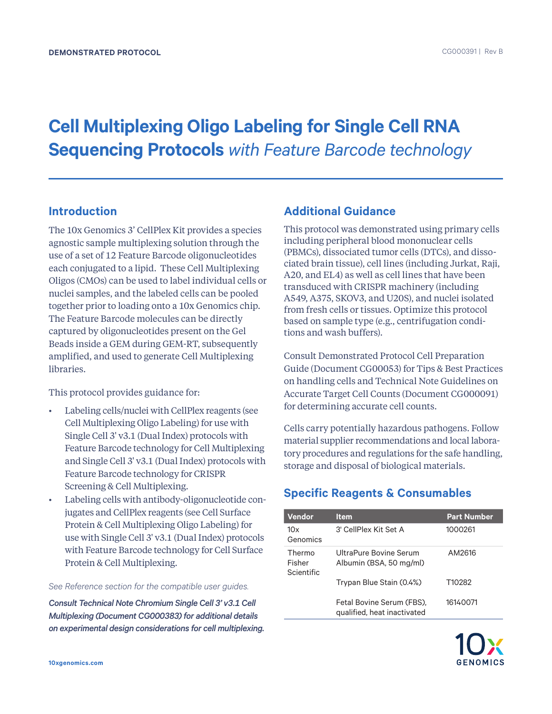# **Cell Multiplexing Oligo Labeling for Single Cell RNA Sequencing Protocols** *with Feature Barcode technology*

## **Introduction**

The 10x Genomics 3' CellPlex Kit provides a species agnostic sample multiplexing solution through the use of a set of 12 Feature Barcode oligonucleotides each conjugated to a lipid. These Cell Multiplexing Oligos (CMOs) can be used to label individual cells or nuclei samples, and the labeled cells can be pooled together prior to loading onto a 10x Genomics chip. The Feature Barcode molecules can be directly captured by oligonucleotides present on the Gel Beads inside a GEM during GEM-RT, subsequently amplified, and used to generate Cell Multiplexing libraries.

This protocol provides guidance for:

- Labeling cells/nuclei with CellPlex reagents (see Cell Multiplexing Oligo Labeling) for use with Single Cell 3' v3.1 (Dual Index) protocols with Feature Barcode technology for Cell Multiplexing and Single Cell 3' v3.1 (Dual Index) protocols with Feature Barcode technology for CRISPR Screening & Cell Multiplexing.
- Labeling cells with antibody-oligonucleotide conjugates and CellPlex reagents (see Cell Surface Protein & Cell Multiplexing Oligo Labeling) for use with Single Cell 3' v3.1 (Dual Index) protocols with Feature Barcode technology for Cell Surface Protein & Cell Multiplexing.

*See Reference section for the compatible user guides.*

*Consult Technical Note Chromium Single Cell 3' v3.1 Cell Multiplexing (Document CG000383) for additional details on experimental design considerations for cell multiplexing.*

## **Additional Guidance**

This protocol was demonstrated using primary cells including peripheral blood mononuclear cells (PBMCs), dissociated tumor cells (DTCs), and dissociated brain tissue), cell lines (including Jurkat, Raji, A20, and EL4) as well as cell lines that have been transduced with CRISPR machinery (including A549, A375, SKOV3, and U20S), and nuclei isolated from fresh cells or tissues. Optimize this protocol based on sample type (e.g., centrifugation conditions and wash buffers).

Consult Demonstrated Protocol Cell Preparation Guide (Document CG00053) for Tips & Best Practices on handling cells and Technical Note Guidelines on Accurate Target Cell Counts (Document CG000091) for determining accurate cell counts.

Cells carry potentially hazardous pathogens. Follow material supplier recommendations and local laboratory procedures and regulations for the safe handling, storage and disposal of biological materials.

## **Specific Reagents & Consumables**

| Vendor                         | <b>Item</b>                                              | <b>Part Number</b> |
|--------------------------------|----------------------------------------------------------|--------------------|
| 10x<br>Genomics                | 3' CellPlex Kit Set A                                    | 1000261            |
| Thermo<br>Fisher<br>Scientific | UltraPure Bovine Serum<br>Albumin (BSA, 50 mg/ml)        | AM2616             |
|                                | Trypan Blue Stain (0.4%)                                 | T10282             |
|                                | Fetal Bovine Serum (FBS),<br>qualified, heat inactivated | 16140071           |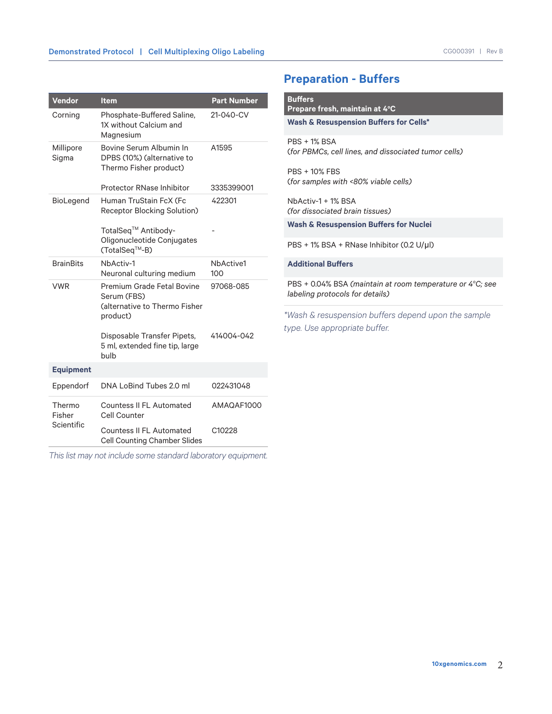| Vendor                         | <b>Item</b>                                                                                   | <b>Part Number</b> |
|--------------------------------|-----------------------------------------------------------------------------------------------|--------------------|
| Corning                        | Phosphate-Buffered Saline,<br>1X without Calcium and<br>Magnesium                             | 21-040-CV          |
| Millipore<br>Sigma             | Bovine Serum Albumin In<br>DPBS (10%) (alternative to<br>Thermo Fisher product)               | A1595              |
|                                | <b>Protector RNase Inhibitor</b>                                                              | 3335399001         |
| BioLegend                      | Human TruStain FcX (Fc<br>Receptor Blocking Solution)                                         | 422301             |
|                                | TotalSeq <sup>™</sup> Antibody-<br>Oligonucleotide Conjugates<br>(TotalSeq™-B)                |                    |
| <b>BrainBits</b>               | NbActiv-1<br>Neuronal culturing medium                                                        | NbActive1<br>100   |
| <b>VWR</b>                     | <b>Premium Grade Fetal Bovine</b><br>Serum (FBS)<br>Calternative to Thermo Fisher<br>product) | 97068-085          |
|                                | Disposable Transfer Pipets,<br>5 ml, extended fine tip, large<br>bulb                         | 414004-042         |
| <b>Equipment</b>               |                                                                                               |                    |
| Eppendorf                      | DNA LoBind Tubes 2.0 ml                                                                       | 022431048          |
| Thermo<br>Fisher<br>Scientific | Countess II FL Automated<br>Cell Counter                                                      | AMAQAF1000         |
|                                | <b>Countess II FL Automated</b><br><b>Cell Counting Chamber Slides</b>                        | C10228             |

*This list may not include some standard laboratory equipment.*

## **Preparation - Buffers**

| Prepare fresh, maintain at 4°C<br><b>Wash &amp; Resuspension Buffers for Cells*</b>                      |
|----------------------------------------------------------------------------------------------------------|
|                                                                                                          |
| $PRS + 1%$ $RSA$<br>(for PBMCs, cell lines, and dissociated tumor cells)                                 |
| <b>PBS + 10% FBS</b><br>(for samples with <80% viable cells)                                             |
| NbActiv-1 + 1% BSA<br>(for dissociated brain tissues)                                                    |
| <b>Wash &amp; Resuspension Buffers for Nuclei</b>                                                        |
| PBS + 1% BSA + RNase Inhibitor (0.2 U/µl)                                                                |
| <b>Additional Buffers</b>                                                                                |
| PBS $+$ 0.04% BSA (maintain at room temperature or 4 $\degree$ C; see<br>labeling protocols for details) |
| *Wash & resuspension buffers depend upon the sample                                                      |
| type. Use appropriate buffer.                                                                            |
|                                                                                                          |
|                                                                                                          |
|                                                                                                          |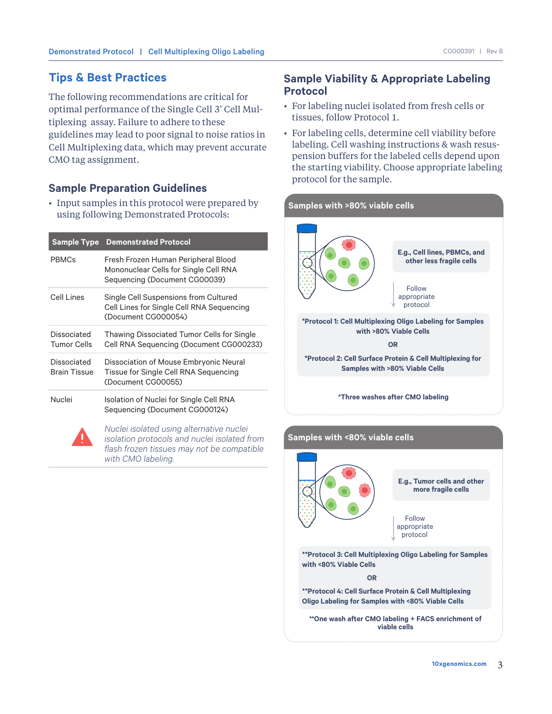## **Tips & Best Practices**

The following recommendations are critical for optimal performance of the Single Cell 3' Cell Multiplexing assay. Failure to adhere to these guidelines may lead to poor signal to noise ratios in Cell Multiplexing data, which may prevent accurate CMO tag assignment.

## **Sample Preparation Guidelines**

• Input samples in this protocol were prepared by using following Demonstrated Protocols:

| <b>Sample Type</b>                 | <b>Demonstrated Protocol</b>                                                                                  |
|------------------------------------|---------------------------------------------------------------------------------------------------------------|
| <b>PRMCs</b>                       | Fresh Frozen Human Peripheral Blood<br>Mononuclear Cells for Single Cell RNA<br>Sequencing (Document CG00039) |
| Cell Lines                         | Single Cell Suspensions from Cultured<br>Cell Lines for Single Cell RNA Sequencing<br>(Document CG000054)     |
| Dissociated<br><b>Tumor Cells</b>  | Thawing Dissociated Tumor Cells for Single<br>Cell RNA Sequencing (Document CG000233)                         |
| Dissociated<br><b>Brain Tissue</b> | Dissociation of Mouse Embryonic Neural<br>Tissue for Single Cell RNA Sequencing<br>(Document CG00055)         |
| Nuclei                             | Isolation of Nuclei for Single Cell RNA<br>Sequencing (Document CG000124)                                     |
|                                    | Nuclei isolated using alternative nuclei                                                                      |

*isolation protocols and nuclei isolated from flash frozen tissues may not be compatible with CMO labeling.*

## **Sample Viability & Appropriate Labeling Protocol**

- For labeling nuclei isolated from fresh cells or tissues, follow Protocol 1.
- For labeling cells, determine cell viability before labeling. Cell washing instructions & wash resuspension buffers for the labeled cells depend upon the starting viability. Choose appropriate labeling protocol for the sample.



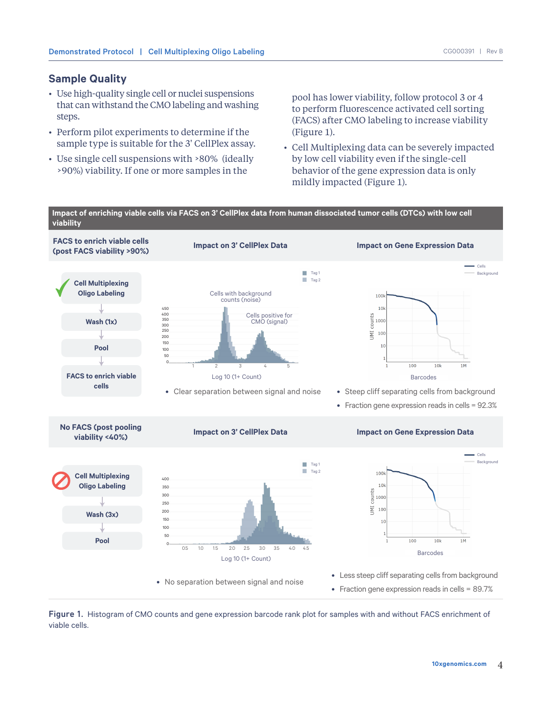#### **Sample Quality**

- Use high-quality single cell or nuclei suspensions that can withstand the CMO labeling and washing steps.
- Perform pilot experiments to determine if the sample type is suitable for the 3' CellPlex assay.
- Use single cell suspensions with >80% (ideally >90%) viability. If one or more samples in the

pool has lower viability, follow protocol 3 or 4 to perform fluorescence activated cell sorting (FACS) after CMO labeling to increase viability (Figure 1).

• Cell Multiplexing data can be severely impacted by low cell viability even if the single-cell behavior of the gene expression data is only mildly impacted (Figure 1).



Figure 1. Histogram of CMO counts and gene expression barcode rank plot for samples with and without FACS enrichment of viable cells.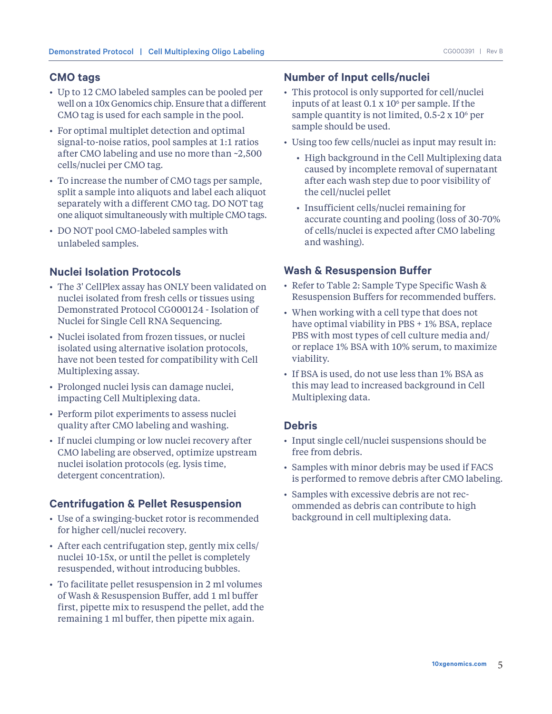#### **CMO tags**

- Up to 12 CMO labeled samples can be pooled per well on a 10x Genomics chip. Ensure that a different CMO tag is used for each sample in the pool.
- For optimal multiplet detection and optimal signal-to-noise ratios, pool samples at 1:1 ratios after CMO labeling and use no more than ~2,500 cells/nuclei per CMO tag.
- To increase the number of CMO tags per sample, split a sample into aliquots and label each aliquot separately with a different CMO tag. DO NOT tag one aliquot simultaneously with multiple CMO tags.
- DO NOT pool CMO-labeled samples with unlabeled samples.

## **Nuclei Isolation Protocols**

- The 3' CellPlex assay has ONLY been validated on nuclei isolated from fresh cells or tissues using Demonstrated Protocol CG000124 - Isolation of Nuclei for Single Cell RNA Sequencing.
- Nuclei isolated from frozen tissues, or nuclei isolated using alternative isolation protocols, have not been tested for compatibility with Cell Multiplexing assay.
- Prolonged nuclei lysis can damage nuclei, impacting Cell Multiplexing data.
- Perform pilot experiments to assess nuclei quality after CMO labeling and washing.
- If nuclei clumping or low nuclei recovery after CMO labeling are observed, optimize upstream nuclei isolation protocols (eg. lysis time, detergent concentration).

#### **Centrifugation & Pellet Resuspension**

- Use of a swinging-bucket rotor is recommended for higher cell/nuclei recovery.
- After each centrifugation step, gently mix cells/ nuclei 10-15x, or until the pellet is completely resuspended, without introducing bubbles.
- To facilitate pellet resuspension in 2 ml volumes of Wash & Resuspension Buffer, add 1 ml buffer first, pipette mix to resuspend the pellet, add the remaining 1 ml buffer, then pipette mix again.

#### **Number of Input cells/nuclei**

- This protocol is only supported for cell/nuclei inputs of at least  $0.1 \times 10^6$  per sample. If the sample quantity is not limited,  $0.5-2 \times 10^6$  per sample should be used.
- Using too few cells/nuclei as input may result in:
	- High background in the Cell Multiplexing data caused by incomplete removal of supernatant after each wash step due to poor visibility of the cell/nuclei pellet
	- Insufficient cells/nuclei remaining for accurate counting and pooling (loss of 30-70% of cells/nuclei is expected after CMO labeling and washing).

#### **Wash & Resuspension Buffer**

- Refer to Table 2: Sample Type Specific Wash & Resuspension Buffers for recommended buffers.
- When working with a cell type that does not have optimal viability in PBS + 1% BSA, replace PBS with most types of cell culture media and/ or replace 1% BSA with 10% serum, to maximize viability.
- If BSA is used, do not use less than 1% BSA as this may lead to increased background in Cell Multiplexing data.

#### **Debris**

- Input single cell/nuclei suspensions should be free from debris.
- Samples with minor debris may be used if FACS is performed to remove debris after CMO labeling.
- Samples with excessive debris are not recommended as debris can contribute to high background in cell multiplexing data.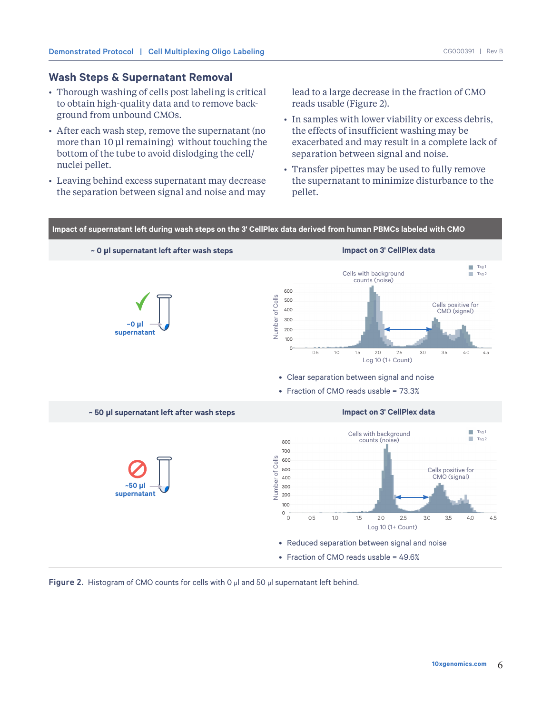#### **Wash Steps & Supernatant Removal**

- Thorough washing of cells post labeling is critical to obtain high-quality data and to remove background from unbound CMOs.
- After each wash step, remove the supernatant (no more than 10 μl remaining) without touching the bottom of the tube to avoid dislodging the cell/ nuclei pellet.
- Leaving behind excess supernatant may decrease the separation between signal and noise and may

lead to a large decrease in the fraction of CMO reads usable (Figure 2).

- In samples with lower viability or excess debris, the effects of insufficient washing may be exacerbated and may result in a complete lack of separation between signal and noise.
- Transfer pipettes may be used to fully remove the supernatant to minimize disturbance to the pellet.



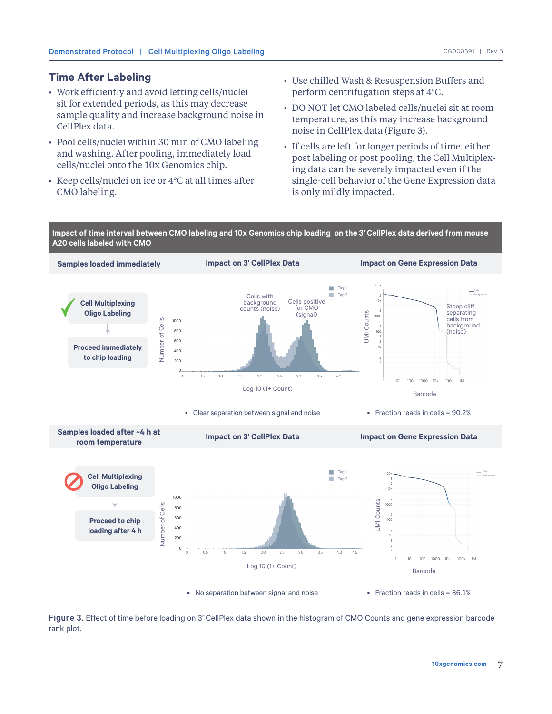## **Time After Labeling**

- Work efficiently and avoid letting cells/nuclei sit for extended periods, as this may decrease sample quality and increase background noise in CellPlex data.
- Pool cells/nuclei within 30 min of CMO labeling and washing. After pooling, immediately load cells/nuclei onto the 10x Genomics chip.
- Keep cells/nuclei on ice or 4°C at all times after CMO labeling.
- Use chilled Wash & Resuspension Buffers and perform centrifugation steps at 4°C.
- DO NOT let CMO labeled cells/nuclei sit at room temperature, as this may increase background noise in CellPlex data (Figure 3).
- If cells are left for longer periods of time, either post labeling or post pooling, the Cell Multiplexing data can be severely impacted even if the single-cell behavior of the Gene Expression data is only mildly impacted.

**Impact of time interval between CMO labeling and 10x Genomics chip loading on the 3' CellPlex data derived from mouse A20 cells labeled with CMO**



Figure 3. Effect of time before loading on 3' CellPlex data shown in the histogram of CMO Counts and gene expression barcode rank plot.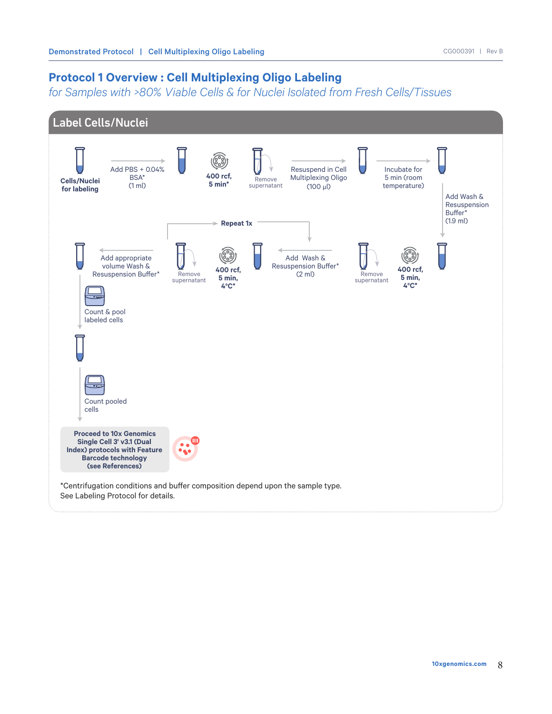## **Protocol 1 Overview : Cell Multiplexing Oligo Labeling**

*for Samples with >80% Viable Cells & for Nuclei Isolated from Fresh Cells/Tissues*

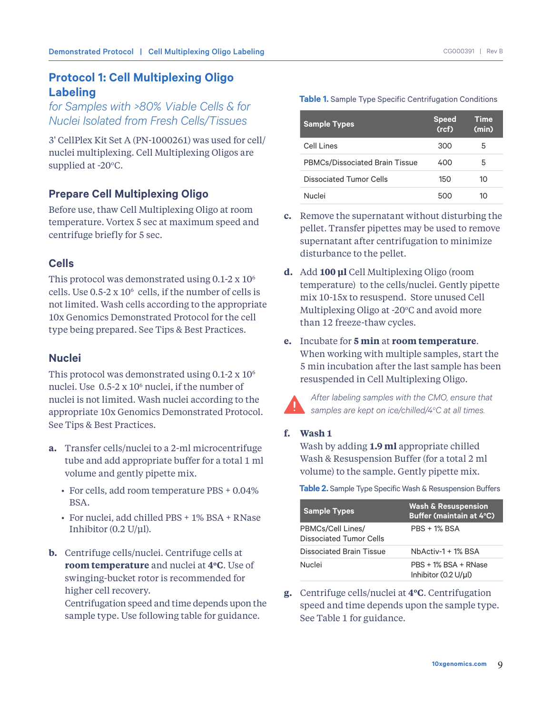## **Protocol 1: Cell Multiplexing Oligo Labeling**

*for Samples with >80% Viable Cells & for Nuclei Isolated from Fresh Cells/Tissues*

3' CellPlex Kit Set A (PN-1000261) was used for cell/ nuclei multiplexing. Cell Multiplexing Oligos are supplied at -20°C.

## **Prepare Cell Multiplexing Oligo**

Before use, thaw Cell Multiplexing Oligo at room temperature. Vortex 5 sec at maximum speed and centrifuge briefly for 5 sec.

## **Cells**

This protocol was demonstrated using  $0.1$ -2 x  $10<sup>6</sup>$ cells. Use  $0.5-2 \times 10^6$  cells, if the number of cells is not limited. Wash cells according to the appropriate 10x Genomics Demonstrated Protocol for the cell type being prepared. See Tips & Best Practices.

## **Nuclei**

This protocol was demonstrated using  $0.1$ -2 x  $10<sup>6</sup>$ nuclei. Use 0.5-2 x 106 nuclei, if the number of nuclei is not limited. Wash nuclei according to the appropriate 10x Genomics Demonstrated Protocol. See Tips & Best Practices.

- **a.** Transfer cells/nuclei to a 2-ml microcentrifuge tube and add appropriate buffer for a total 1 ml volume and gently pipette mix.
	- For cells, add room temperature PBS + 0.04% BSA.
	- For nuclei, add chilled PBS + 1% BSA + RNase Inhibitor (0.2 U/μl).
- **b.** Centrifuge cells/nuclei. Centrifuge cells at **room temperature** and nuclei at **4oC**. Use of swinging-bucket rotor is recommended for higher cell recovery.

Centrifugation speed and time depends upon the sample type. Use following table for guidance.

#### **Table 1.** Sample Type Specific Centrifugation Conditions

| <b>Sample Types</b>                   | <b>Speed</b><br>(rcf) | <b>Time</b><br>(min) |
|---------------------------------------|-----------------------|----------------------|
| Cell Lines                            | 300                   | 5                    |
| <b>PBMCs/Dissociated Brain Tissue</b> | 400                   | 5                    |
| Dissociated Tumor Cells               | 150                   | 10                   |
| <b>Nuclei</b>                         | 500                   | າດ                   |

- **c.** Remove the supernatant without disturbing the pellet. Transfer pipettes may be used to remove supernatant after centrifugation to minimize disturbance to the pellet.
- **d.** Add **100 μl** Cell Multiplexing Oligo (room temperature) to the cells/nuclei. Gently pipette mix 10-15x to resuspend. Store unused Cell Multiplexing Oligo at -20°C and avoid more than 12 freeze-thaw cycles.
- **e.** Incubate for **5 min** at **room temperature**. When working with multiple samples, start the 5 min incubation after the last sample has been resuspended in Cell Multiplexing Oligo.

*After labeling samples with the CMO, ensure that samples are kept on ice/chilled/4o C at all times.*

#### **f. Wash 1**

Wash by adding **1.9 ml** appropriate chilled Wash & Resuspension Buffer (for a total 2 ml volume) to the sample. Gently pipette mix.

**Table 2.** Sample Type Specific Wash & Resuspension Buffers

| <b>Sample Types</b>                                 | <b>Wash &amp; Resuspension</b><br><b>Buffer (maintain at 4°C)</b> |
|-----------------------------------------------------|-------------------------------------------------------------------|
| PBMCs/Cell Lines/<br><b>Dissociated Tumor Cells</b> | <b>PRS + 1% BSA</b>                                               |
| Dissociated Brain Tissue                            | $NbActiv-1 + 1% BSA$                                              |
| Nuclei                                              | $PRS + 1%$ $RSA + RN$ ase<br>Inhibitor (0.2 U/µl)                 |

**g.** Centrifuge cells/nuclei at **4oC**. Centrifugation speed and time depends upon the sample type. See Table 1 for guidance.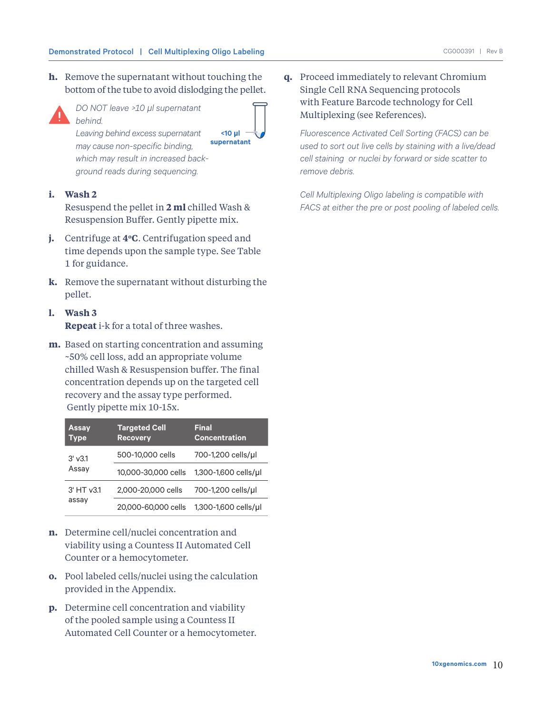**h.** Remove the supernatant without touching the bottom of the tube to avoid dislodging the pellet.



*DO NOT leave >10 μl supernatant behind.*



*Leaving behind excess supernatant may cause non-specific binding, which may result in increased background reads during sequencing.* 

#### **i. Wash 2**

Resuspend the pellet in **2 ml** chilled Wash & Resuspension Buffer. Gently pipette mix.

- **j.** Centrifuge at **4°C**. Centrifugation speed and time depends upon the sample type. See Table 1 for guidance.
- **k.** Remove the supernatant without disturbing the pellet.
- **l. Wash 3 Repeat** i-k for a total of three washes.
- **m.** Based on starting concentration and assuming ~50% cell loss, add an appropriate volume chilled Wash & Resuspension buffer. The final concentration depends up on the targeted cell recovery and the assay type performed. Gently pipette mix 10-15x.

| <b>Assay</b><br><b>Type</b> | <b>Targeted Cell</b><br><b>Recovery</b> | <b>Final</b><br><b>Concentration</b> |
|-----------------------------|-----------------------------------------|--------------------------------------|
| $3'$ $v3.1$<br>Assay        | 500-10,000 cells                        | 700-1,200 cells/µl                   |
|                             | 10,000-30,000 cells                     | 1,300-1,600 cells/µl                 |
| 3' HT v3.1                  | 2,000-20,000 cells                      | 700-1,200 cells/µl                   |
| assay                       | 20,000-60,000 cells                     | 1,300-1,600 cells/ul                 |

- **n.** Determine cell/nuclei concentration and viability using a Countess II Automated Cell Counter or a hemocytometer.
- **o.** Pool labeled cells/nuclei using the calculation provided in the Appendix.
- **p.** Determine cell concentration and viability of the pooled sample using a Countess II Automated Cell Counter or a hemocytometer.

**q.** Proceed immediately to relevant Chromium Single Cell RNA Sequencing protocols with Feature Barcode technology for Cell Multiplexing (see References).

*Fluorescence Activated Cell Sorting (FACS) can be used to sort out live cells by staining with a live/dead cell staining or nuclei by forward or side scatter to remove debris.*

*Cell Multiplexing Oligo labeling is compatible with FACS at either the pre or post pooling of labeled cells.*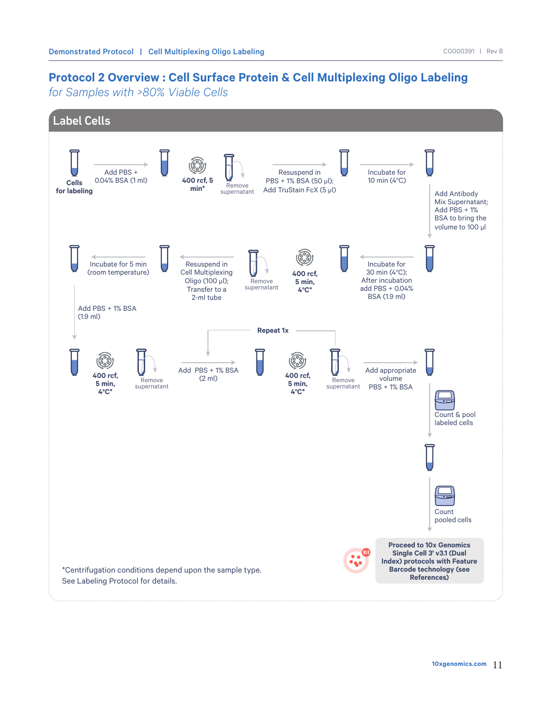## **Protocol 2 Overview : Cell Surface Protein & Cell Multiplexing Oligo Labeling**

*for Samples with >80% Viable Cells*

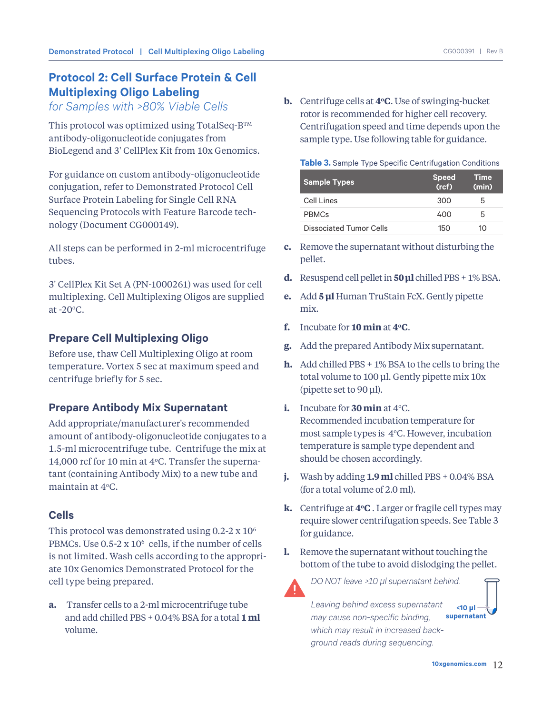## **Protocol 2: Cell Surface Protein & Cell Multiplexing Oligo Labeling**

*for Samples with >80% Viable Cells*

This protocol was optimized using TotalSeq-BTM antibody-oligonucleotide conjugates from BioLegend and 3' CellPlex Kit from 10x Genomics.

For guidance on custom antibody-oligonucleotide conjugation, refer to Demonstrated Protocol Cell Surface Protein Labeling for Single Cell RNA Sequencing Protocols with Feature Barcode technology (Document CG000149).

All steps can be performed in 2-ml microcentrifuge tubes.

3' CellPlex Kit Set A (PN-1000261) was used for cell multiplexing. Cell Multiplexing Oligos are supplied at  $-20^{\circ}$ C.

## **Prepare Cell Multiplexing Oligo**

Before use, thaw Cell Multiplexing Oligo at room temperature. Vortex 5 sec at maximum speed and centrifuge briefly for 5 sec.

## **Prepare Antibody Mix Supernatant**

Add appropriate/manufacturer's recommended amount of antibody-oligonucleotide conjugates to a 1.5-ml microcentrifuge tube. Centrifuge the mix at 14,000 rcf for 10 min at  $4^{\circ}$ C. Transfer the supernatant (containing Antibody Mix) to a new tube and maintain at 4°C.

## **Cells**

This protocol was demonstrated using  $0.2\text{-}2 \times 10^6$ PBMCs. Use 0.5-2 x 10<sup>6</sup> cells, if the number of cells is not limited. Wash cells according to the appropriate 10x Genomics Demonstrated Protocol for the cell type being prepared.

**a.** Transfer cells to a 2-ml microcentrifuge tube and add chilled PBS + 0.04% BSA for a total **1 ml** volume.

**b.** Centrifuge cells at **4oC**. Use of swinging-bucket rotor is recommended for higher cell recovery. Centrifugation speed and time depends upon the sample type. Use following table for guidance.

**Table 3.** Sample Type Specific Centrifugation Conditions

| <b>Sample Types</b>     | <b>Speed</b><br>(rcf) | <b>Time</b><br>(min) |
|-------------------------|-----------------------|----------------------|
| Cell Lines              | 300                   | b                    |
| <b>PRMCs</b>            | 400                   | 5                    |
| Dissociated Tumor Cells | 150                   | 17 I                 |

- **c.** Remove the supernatant without disturbing the pellet.
- **d.** Resuspend cell pellet in **50 μl** chilled PBS + 1% BSA.
- **e.** Add **5 μl** Human TruStain FcX. Gently pipette mix.
- **f.** Incubate for **10 min** at **4oC**.
- **g.** Add the prepared Antibody Mix supernatant.
- **h.** Add chilled PBS + 1% BSA to the cells to bring the total volume to 100 μl. Gently pipette mix 10x (pipette set to 90 μl).
- **i.** Incubate for **30 min** at  $4^{\circ}$ C. Recommended incubation temperature for most sample types is  $4^{\circ}$ C. However, incubation temperature is sample type dependent and should be chosen accordingly.
- **j.** Wash by adding **1.9 ml** chilled PBS + 0.04% BSA (for a total volume of 2.0 ml).
- **k.** Centrifuge at **4oC** . Larger or fragile cell types may require slower centrifugation speeds. See Table 3 for guidance.
- **l.** Remove the supernatant without touching the bottom of the tube to avoid dislodging the pellet.



*DO NOT leave >10 μl supernatant behind.* 

*Leaving behind excess supernatant may cause non-specific binding, which may result in increased background reads during sequencing.* **supernatant**

**<10 μl**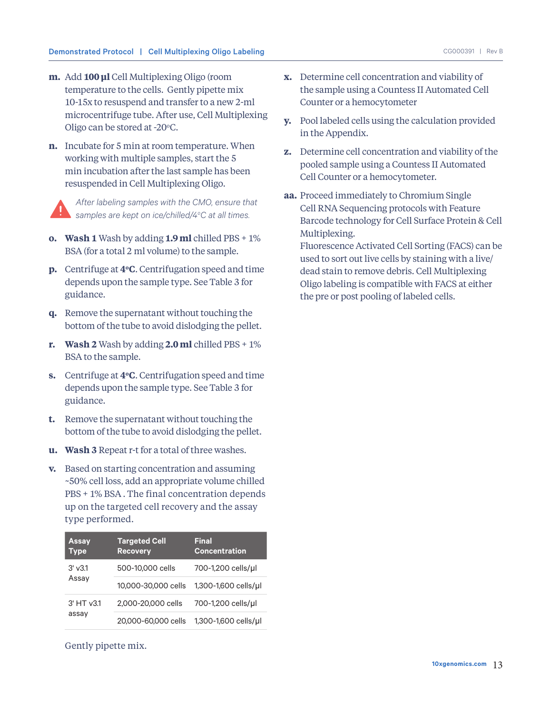- **m.** Add **100 μl** Cell Multiplexing Oligo (room temperature to the cells. Gently pipette mix 10-15x to resuspend and transfer to a new 2-ml microcentrifuge tube. After use, Cell Multiplexing Oligo can be stored at -20 $\degree$ C.
- **n.** Incubate for 5 min at room temperature. When working with multiple samples, start the 5 min incubation after the last sample has been resuspended in Cell Multiplexing Oligo.



*After labeling samples with the CMO, ensure that samples are kept on ice/chilled/4o C at all times.*

- **o. Wash 1** Wash by adding **1.9 ml** chilled PBS + 1% BSA (for a total 2 ml volume) to the sample.
- **p.** Centrifuge at **4oC**. Centrifugation speed and time depends upon the sample type. See Table 3 for guidance.
- **q.** Remove the supernatant without touching the bottom of the tube to avoid dislodging the pellet.
- **r. Wash 2** Wash by adding **2.0 ml** chilled PBS + 1% BSA to the sample.
- **s.** Centrifuge at **4oC**. Centrifugation speed and time depends upon the sample type. See Table 3 for guidance.
- **t.** Remove the supernatant without touching the bottom of the tube to avoid dislodging the pellet.
- **u. Wash 3** Repeat r-t for a total of three washes.
- **v.** Based on starting concentration and assuming ~50% cell loss, add an appropriate volume chilled PBS + 1% BSA . The final concentration depends up on the targeted cell recovery and the assay type performed.

| <b>Assay</b><br><b>Type</b> | <b>Targeted Cell</b><br><b>Recovery</b> | <b>Final</b><br><b>Concentration</b> |
|-----------------------------|-----------------------------------------|--------------------------------------|
| $3'$ $v3.1$<br>Assay        | 500-10,000 cells                        | 700-1,200 cells/µl                   |
|                             | 10,000-30,000 cells                     | 1,300-1,600 cells/µl                 |
| 3' HT v3.1<br>assay         | 2,000-20,000 cells                      | 700-1,200 cells/µl                   |
|                             | 20,000-60,000 cells                     | 1,300-1,600 cells/ul                 |

Gently pipette mix.

- **x.** Determine cell concentration and viability of the sample using a Countess II Automated Cell Counter or a hemocytometer
- **y.** Pool labeled cells using the calculation provided in the Appendix.
- **z.** Determine cell concentration and viability of the pooled sample using a Countess II Automated Cell Counter or a hemocytometer.
- **aa.** Proceed immediately to Chromium Single Cell RNA Sequencing protocols with Feature Barcode technology for Cell Surface Protein & Cell Multiplexing.

Fluorescence Activated Cell Sorting (FACS) can be used to sort out live cells by staining with a live/ dead stain to remove debris. Cell Multiplexing Oligo labeling is compatible with FACS at either the pre or post pooling of labeled cells.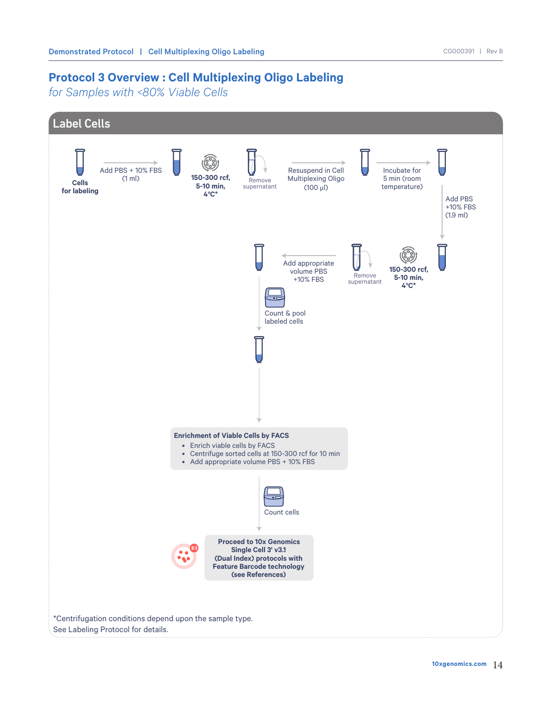## **Protocol 3 Overview : Cell Multiplexing Oligo Labeling**

*for Samples with <80% Viable Cells*

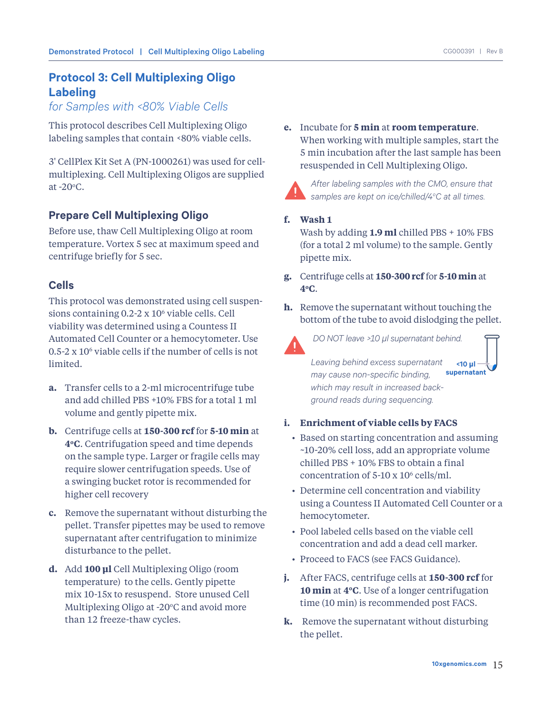## **Protocol 3: Cell Multiplexing Oligo Labeling**

*for Samples with <80% Viable Cells*

This protocol describes Cell Multiplexing Oligo labeling samples that contain <80% viable cells.

3' CellPlex Kit Set A (PN-1000261) was used for cellmultiplexing. Cell Multiplexing Oligos are supplied at  $-20^{\circ}$ C.

## **Prepare Cell Multiplexing Oligo**

Before use, thaw Cell Multiplexing Oligo at room temperature. Vortex 5 sec at maximum speed and centrifuge briefly for 5 sec.

## **Cells**

This protocol was demonstrated using cell suspensions containing 0.2-2 x 10<sup>6</sup> viable cells. Cell viability was determined using a Countess II Automated Cell Counter or a hemocytometer. Use 0.5-2 x 10<sup>6</sup> viable cells if the number of cells is not limited.

- **a.** Transfer cells to a 2-ml microcentrifuge tube and add chilled PBS +10% FBS for a total 1 ml volume and gently pipette mix.
- **b.** Centrifuge cells at **150-300 rcf** for **5-10 min** at **4oC**. Centrifugation speed and time depends on the sample type. Larger or fragile cells may require slower centrifugation speeds. Use of a swinging bucket rotor is recommended for higher cell recovery
- **c.** Remove the supernatant without disturbing the pellet. Transfer pipettes may be used to remove supernatant after centrifugation to minimize disturbance to the pellet.
- **d.** Add **100 μl** Cell Multiplexing Oligo (room temperature) to the cells. Gently pipette mix 10-15x to resuspend. Store unused Cell Multiplexing Oligo at -20°C and avoid more than 12 freeze-thaw cycles.

**e.** Incubate for **5 min** at **room temperature**. When working with multiple samples, start the 5 min incubation after the last sample has been resuspended in Cell Multiplexing Oligo.



*After labeling samples with the CMO, ensure that samples are kept on ice/chilled/4o C at all times.*

#### **f. Wash 1**

Wash by adding **1.9 ml** chilled PBS + 10% FBS (for a total 2 ml volume) to the sample. Gently pipette mix.

- **g.** Centrifuge cells at **150-300 rcf** for **5-10 min** at **4oC**.
- **h.** Remove the supernatant without touching the bottom of the tube to avoid dislodging the pellet.



 *DO NOT leave >10 μl supernatant behind.* 

*Leaving behind excess supernatant may cause non-specific binding, which may result in increased background reads during sequencing.* **<10 μl supernatant**

- **i. Enrichment of viable cells by FACS**
	- Based on starting concentration and assuming ~10-20% cell loss, add an appropriate volume chilled PBS + 10% FBS to obtain a final concentration of  $5-10 \times 10^6$  cells/ml.
	- Determine cell concentration and viability using a Countess II Automated Cell Counter or a hemocytometer.
	- Pool labeled cells based on the viable cell concentration and add a dead cell marker.
	- Proceed to FACS (see FACS Guidance).
- **j.** After FACS, centrifuge cells at **150-300 rcf** for **10 min** at **4oC**. Use of a longer centrifugation time (10 min) is recommended post FACS.
- **k.** Remove the supernatant without disturbing the pellet.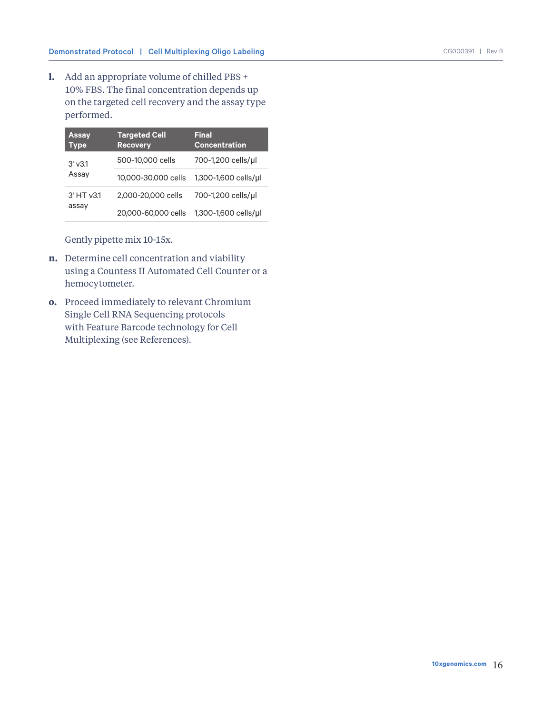**l.** Add an appropriate volume of chilled PBS + 10% FBS. The final concentration depends up on the targeted cell recovery and the assay type performed.

| <b>Assay</b><br><b>Type</b> | <b>Targeted Cell</b><br><b>Recovery</b> | <b>Final</b><br><b>Concentration</b> |
|-----------------------------|-----------------------------------------|--------------------------------------|
| $3'$ $v3.1$<br>Assay        | 500-10,000 cells                        | 700-1,200 cells/ul                   |
|                             | 10,000-30,000 cells                     | 1,300-1,600 cells/ul                 |
| 3' HT v3.1                  | 2,000-20,000 cells                      | 700-1,200 cells/µl                   |
| assay                       | 20,000-60,000 cells                     | 1,300-1,600 cells/ul                 |

Gently pipette mix 10-15x.

- **n.** Determine cell concentration and viability using a Countess II Automated Cell Counter or a hemocytometer.
- **o.** Proceed immediately to relevant Chromium Single Cell RNA Sequencing protocols with Feature Barcode technology for Cell Multiplexing (see References).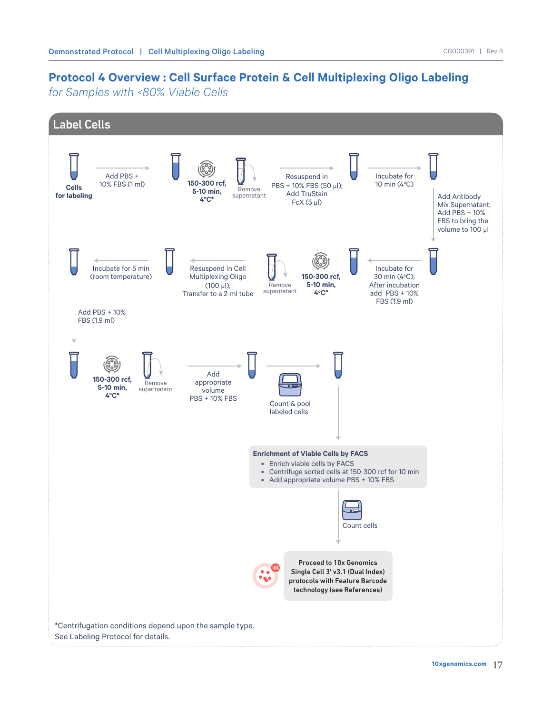## **Protocol 4 Overview : Cell Surface Protein & Cell Multiplexing Oligo Labeling**

*for Samples with <80% Viable Cells*

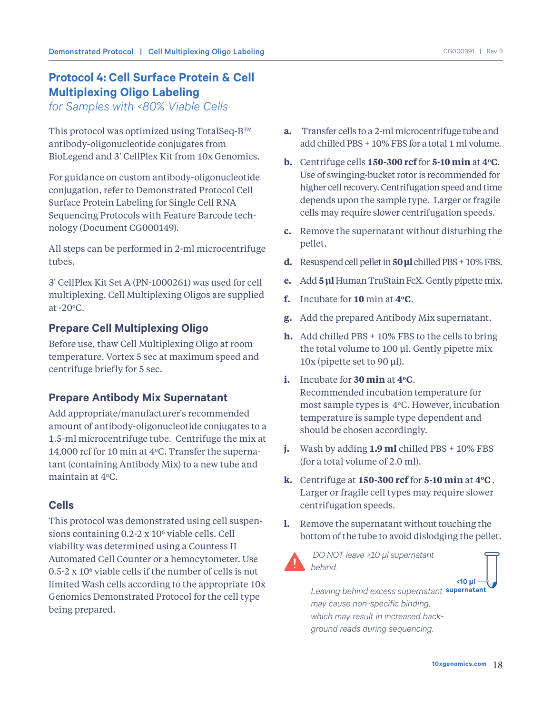## **Protocol 4: Cell Surface Protein & Cell Multiplexing Oligo Labeling**

*for Samples with <80% Viable Cells*

This protocol was optimized using TotalSeq-B™ antibody-oligonucleotide conjugates from BioLegend and 3' CellPlex Kit from 10x Genomics.

For guidance on custom antibody-oligonucleotide conjugation, refer to Demonstrated Protocol Cell Surface Protein Labeling for Single Cell RNA Sequencing Protocols with Feature Barcode technology (Document CG000149).

All steps can be performed in 2-ml microcentrifuge tubes.

3' CellPlex Kit Set A (PN-1000261) was used for cell multiplexing. Cell Multiplexing Oligos are supplied at  $-20^{\circ}$ C.

## **Prepare Cell Multiplexing Oligo**

Before use, thaw Cell Multiplexing Oligo at room temperature. Vortex 5 sec at maximum speed and centrifuge briefly for 5 sec.

## **Prepare Antibody Mix Supernatant**

Add appropriate/manufacturer's recommended amount of antibody-oligonucleotide conjugates to a 1.5-ml microcentrifuge tube. Centrifuge the mix at 14,000 rcf for 10 min at  $4^{\circ}$ C. Transfer the supernatant (containing Antibody Mix) to a new tube and maintain at 4°C.

## **Cells**

This protocol was demonstrated using cell suspensions containing 0.2-2 x 10<sup>6</sup> viable cells. Cell viability was determined using a Countess II Automated Cell Counter or a hemocytometer. Use  $0.5$ -2 x 10<sup> $\circ$ </sup> viable cells if the number of cells is not limited Wash cells according to the appropriate 10x Genomics Demonstrated Protocol for the cell type being prepared.

- **a.** Transfer cells to a 2-ml microcentrifuge tube and add chilled PBS + 10% FBS for a total 1 ml volume.
- **b.** Centrifuge cells **150-300 rcf** for **5-10 min** at **4oC**. Use of swinging-bucket rotor is recommended for higher cell recovery. Centrifugation speed and time depends upon the sample type. Larger or fragile cells may require slower centrifugation speeds.
- **c.** Remove the supernatant without disturbing the pellet.
- **d.** Resuspend cell pellet in **50 μl** chilled PBS + 10% FBS.
- **e.** Add **5 μl** Human TruStain FcX. Gently pipette mix.
- **f.** Incubate for **10** min at **4oC**.
- **g.** Add the prepared Antibody Mix supernatant.
- **h.** Add chilled PBS + 10% FBS to the cells to bring the total volume to 100 μl. Gently pipette mix 10x (pipette set to 90 μl).
- **i.** Incubate for **30 min** at **4oC**. Recommended incubation temperature for most sample types is  $4^{\circ}$ C. However, incubation temperature is sample type dependent and should be chosen accordingly.
- **j.** Wash by adding **1.9 ml** chilled PBS + 10% FBS (for a total volume of 2.0 ml).
- **k.** Centrifuge at **150-300 rcf** for **5-10 min** at **4oC** . Larger or fragile cell types may require slower centrifugation speeds.
- **l.** Remove the supernatant without touching the bottom of the tube to avoid dislodging the pellet.



 *DO NOT leave >10 μl supernatant behind.* 

*Leaving behind excess supernatant*  **supernatant***may cause non-specific binding, which may result in increased background reads during sequencing.* **<10 μl**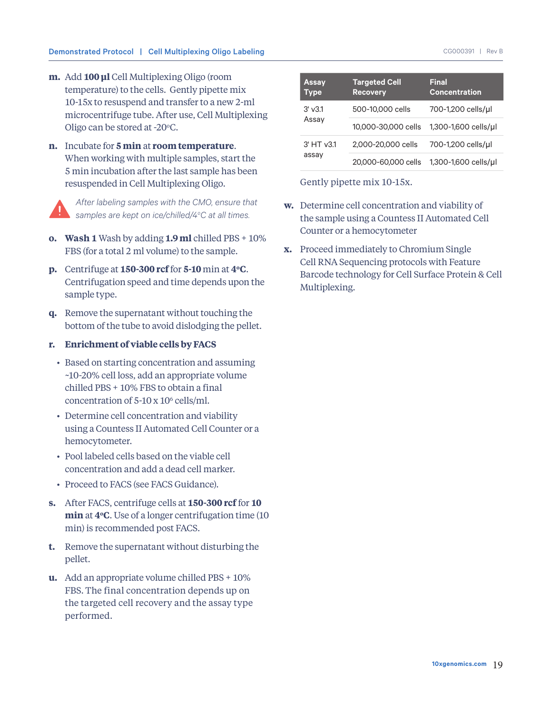- **m.** Add **100 μl** Cell Multiplexing Oligo (room temperature) to the cells. Gently pipette mix 10-15x to resuspend and transfer to a new 2-ml microcentrifuge tube. After use, Cell Multiplexing Oligo can be stored at -20°C.
- **n.** Incubate for **5 min** at **room temperature**. When working with multiple samples, start the 5 min incubation after the last sample has been resuspended in Cell Multiplexing Oligo.

*After labeling samples with the CMO, ensure that samples are kept on ice/chilled/4o C at all times.*

- **o. Wash 1** Wash by adding **1.9 ml** chilled PBS + 10% FBS (for a total 2 ml volume) to the sample.
- **p.** Centrifuge at **150-300 rcf** for **5-10** min at **4oC**. Centrifugation speed and time depends upon the sample type.
- **q.** Remove the supernatant without touching the bottom of the tube to avoid dislodging the pellet.

#### **r. Enrichment of viable cells by FACS**

- Based on starting concentration and assuming ~10-20% cell loss, add an appropriate volume chilled PBS + 10% FBS to obtain a final concentration of  $5-10 \times 10^6$  cells/ml.
- Determine cell concentration and viability using a Countess II Automated Cell Counter or a hemocytometer.
- Pool labeled cells based on the viable cell concentration and add a dead cell marker.
- Proceed to FACS (see FACS Guidance).
- **s.** After FACS, centrifuge cells at **150-300 rcf** for **10 min** at **4oC**. Use of a longer centrifugation time (10 min) is recommended post FACS.
- **t.** Remove the supernatant without disturbing the pellet.
- **u.** Add an appropriate volume chilled PBS + 10% FBS. The final concentration depends up on the targeted cell recovery and the assay type performed.

| <b>Assay</b><br><b>Type</b> | <b>Targeted Cell</b><br><b>Recovery</b> | <b>Final</b><br><b>Concentration</b> |
|-----------------------------|-----------------------------------------|--------------------------------------|
| $3'$ v $3.1$                | 500-10,000 cells                        | 700-1,200 cells/ul                   |
| Assay                       | 10,000-30,000 cells                     | 1,300-1,600 cells/ul                 |
| $3'$ HT $v3.1$<br>assay     | 2,000-20,000 cells                      | 700-1,200 cells/µl                   |
|                             | 20,000-60,000 cells                     | 1,300-1,600 cells/ul                 |

Gently pipette mix 10-15x.

- **w.** Determine cell concentration and viability of the sample using a Countess II Automated Cell Counter or a hemocytometer
- **x.** Proceed immediately to Chromium Single Cell RNA Sequencing protocols with Feature Barcode technology for Cell Surface Protein & Cell Multiplexing.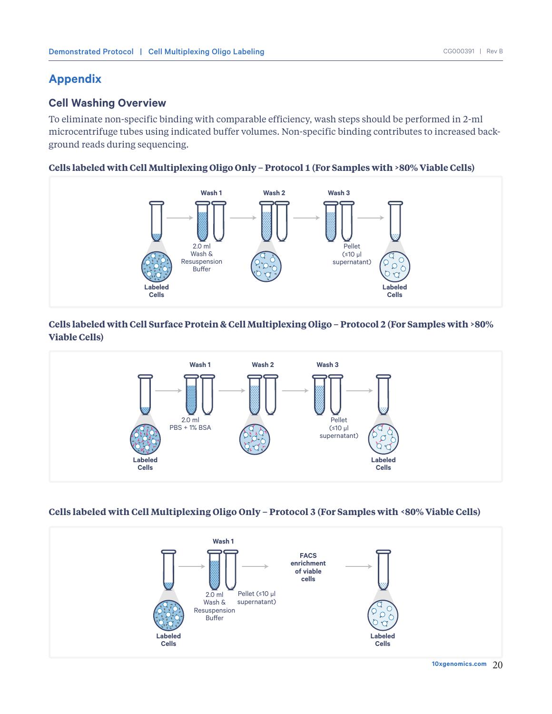## **Appendix**

## **Cell Washing Overview**

To eliminate non-specific binding with comparable efficiency, wash steps should be performed in 2-ml microcentrifuge tubes using indicated buffer volumes. Non-specific binding contributes to increased background reads during sequencing.

#### **Cells labeled with Cell Multiplexing Oligo Only – Protocol 1 (For Samples with >80% Viable Cells)**



## **Cells labeled with Cell Surface Protein & Cell Multiplexing Oligo – Protocol 2 (For Samples with >80% Viable Cells)**



#### **Cells labeled with Cell Multiplexing Oligo Only – Protocol 3 (For Samples with <80% Viable Cells)**



20 **10xgenomics.com**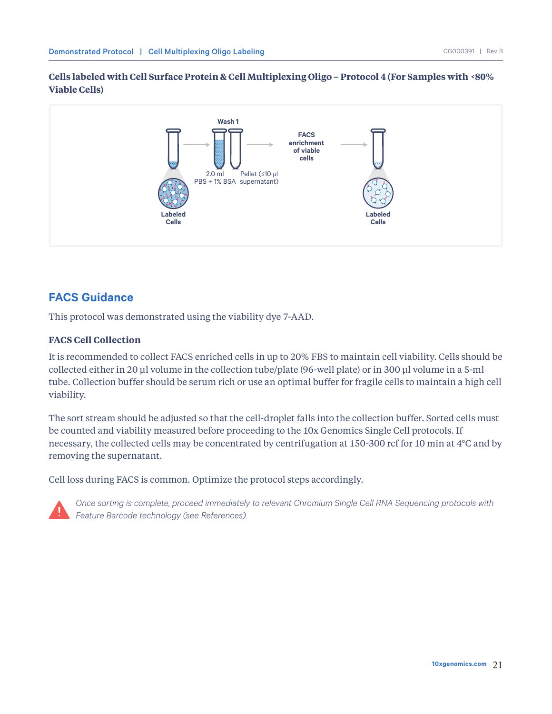#### **Cells labeled with Cell Surface Protein & Cell Multiplexing Oligo – Protocol 4 (For Samples with <80% Viable Cells)**



## **FACS Guidance**

This protocol was demonstrated using the viability dye 7-AAD.

#### **FACS Cell Collection**

It is recommended to collect FACS enriched cells in up to 20% FBS to maintain cell viability. Cells should be collected either in 20 μl volume in the collection tube/plate (96-well plate) or in 300 μl volume in a 5-ml tube. Collection buffer should be serum rich or use an optimal buffer for fragile cells to maintain a high cell viability.

The sort stream should be adjusted so that the cell-droplet falls into the collection buffer. Sorted cells must be counted and viability measured before proceeding to the 10x Genomics Single Cell protocols. If necessary, the collected cells may be concentrated by centrifugation at 150-300 rcf for 10 min at 4°C and by removing the supernatant.

Cell loss during FACS is common. Optimize the protocol steps accordingly.



*Once sorting is complete, proceed immediately to relevant Chromium Single Cell RNA Sequencing protocols with Feature Barcode technology (see References).*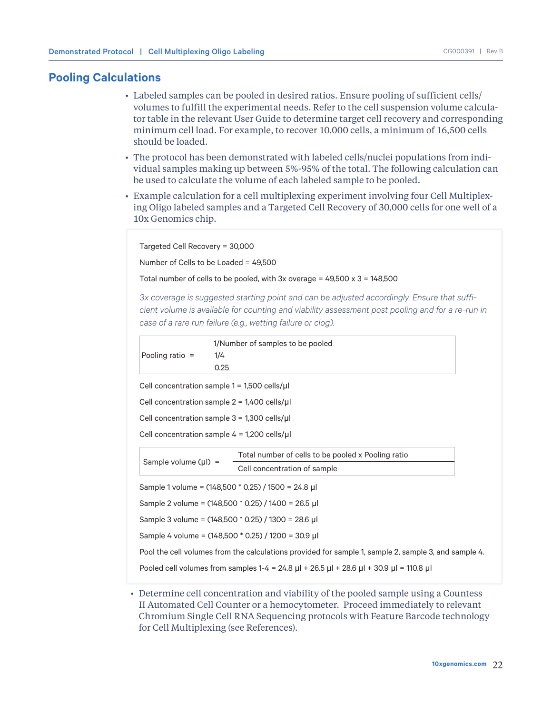#### **Pooling Calculations**

- Labeled samples can be pooled in desired ratios. Ensure pooling of sufficient cells/ volumes to fulfill the experimental needs. Refer to the cell suspension volume calculator table in the relevant User Guide to determine target cell recovery and corresponding minimum cell load. For example, to recover 10,000 cells, a minimum of 16,500 cells should be loaded.
- The protocol has been demonstrated with labeled cells/nuclei populations from individual samples making up between 5%-95% of the total. The following calculation can be used to calculate the volume of each labeled sample to be pooled.
- Example calculation for a cell multiplexing experiment involving four Cell Multiplexing Oligo labeled samples and a Targeted Cell Recovery of 30,000 cells for one well of a 10x Genomics chip.

Targeted Cell Recovery = 30,000

Number of Cells to be Loaded = 49,500

Total number of cells to be pooled, with  $3x$  overage =  $49,500 \times 3 = 148,500$ 

*3x coverage is suggested starting point and can be adjusted accordingly. Ensure that sufficient volume is available for counting and viability assessment post pooling and for a re-run in case of a rare run failure (e.g., wetting failure or clog).*

| Pooling ratio $=$        | 1/Number of samples to be pooled<br>1/4                                                                          |
|--------------------------|------------------------------------------------------------------------------------------------------------------|
|                          | 0.25                                                                                                             |
|                          | Cell concentration sample $1 = 1,500$ cells/ $\mu$ l                                                             |
|                          | Cell concentration sample $2 = 1,400$ cells/ $\mu$ l                                                             |
|                          | Cell concentration sample $3 = 1,300$ cells/ $\mu$ l                                                             |
|                          | Cell concentration sample $4 = 1,200$ cells/ $\mu$ l                                                             |
| Sample volume $(\mu$ ) = | Total number of cells to be pooled x Pooling ratio                                                               |
|                          | Cell concentration of sample                                                                                     |
|                          | Sample 1 volume = (148,500 * 0.25) / 1500 = 24.8 µl                                                              |
|                          | Sample 2 volume = (148,500 * 0.25) / 1400 = 26.5 µl                                                              |
|                          | Sample 3 volume = (148,500 * 0.25) / 1300 = 28.6 µl                                                              |
|                          | Sample 4 volume = (148,500 * 0.25) / 1200 = 30.9 µl                                                              |
|                          | Pool the cell volumes from the calculations provided for sample 1, sample 2, sample 3, and sample 4.             |
|                          | Pooled cell volumes from samples 1-4 = 24.8 $\mu$ l + 26.5 $\mu$ l + 28.6 $\mu$ l + 30.9 $\mu$ l = 110.8 $\mu$ l |
|                          |                                                                                                                  |

• Determine cell concentration and viability of the pooled sample using a Countess II Automated Cell Counter or a hemocytometer. Proceed immediately to relevant Chromium Single Cell RNA Sequencing protocols with Feature Barcode technology for Cell Multiplexing (see References).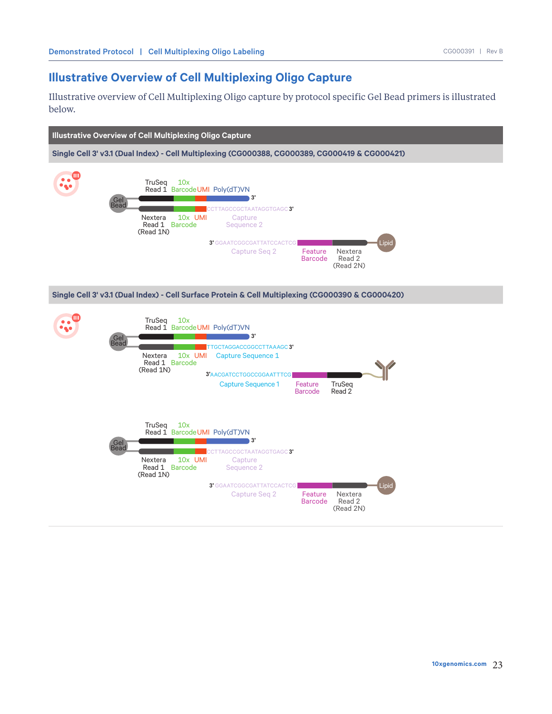## **Illustrative Overview of Cell Multiplexing Oligo Capture**

Illustrative overview of Cell Multiplexing Oligo capture by protocol specific Gel Bead primers is illustrated below.